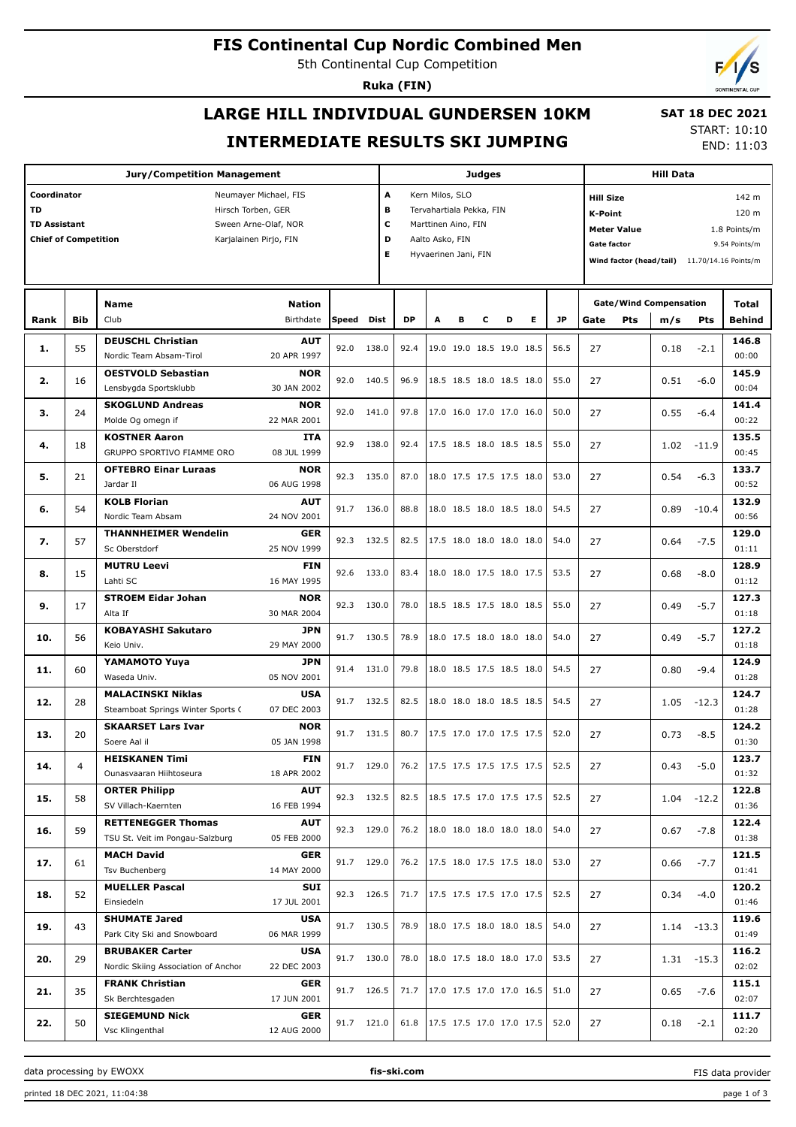# **FIS Continental Cup Nordic Combined Men**

5th Continental Cup Competition

**Ruka (FIN)**

# **LARGE HILL INDIVIDUAL GUNDERSEN 10KM INTERMEDIATE RESULTS SKI JUMPING**

 **SAT 18 DEC 2021** START: 10:10

END: 11:03

| <b>Jury/Competition Management</b>                         |            |                                                               |                            |       |              |                           | <b>Judges</b>            |                               |   |                                 |   |           |                               | <b>Hill Data</b>                   |                  |               |                        |  |  |  |
|------------------------------------------------------------|------------|---------------------------------------------------------------|----------------------------|-------|--------------|---------------------------|--------------------------|-------------------------------|---|---------------------------------|---|-----------|-------------------------------|------------------------------------|------------------|---------------|------------------------|--|--|--|
| Coordinator                                                |            | A<br>Kern Milos, SLO                                          |                            |       |              |                           |                          |                               |   | 142 m<br><b>Hill Size</b>       |   |           |                               |                                    |                  |               |                        |  |  |  |
| <b>TD</b><br>Hirsch Torben, GER                            |            |                                                               |                            |       |              |                           |                          | в<br>Tervahartiala Pekka, FIN |   |                                 |   |           |                               |                                    | 120 m<br>K-Point |               |                        |  |  |  |
| <b>TD Assistant</b><br>Sween Arne-Olaf, NOR                |            |                                                               |                            |       |              |                           | c<br>Marttinen Aino, FIN |                               |   |                                 |   |           |                               | <b>Meter Value</b><br>1.8 Points/m |                  |               |                        |  |  |  |
| D<br><b>Chief of Competition</b><br>Karjalainen Pirjo, FIN |            |                                                               |                            |       |              |                           | Aalto Asko, FIN          |                               |   |                                 |   |           | <b>Gate factor</b>            |                                    |                  |               | 9.54 Points/m          |  |  |  |
|                                                            |            |                                                               |                            |       |              | Е<br>Hyvaerinen Jani, FIN |                          |                               |   |                                 |   |           |                               | Wind factor (head/tail)            |                  |               | 11.70/14.16 Points/m   |  |  |  |
|                                                            |            |                                                               |                            |       |              |                           |                          |                               |   |                                 |   |           |                               |                                    |                  |               |                        |  |  |  |
|                                                            |            |                                                               |                            |       |              |                           |                          |                               |   |                                 |   |           | <b>Gate/Wind Compensation</b> |                                    |                  |               |                        |  |  |  |
| Rank                                                       | <b>Bib</b> | <b>Name</b><br>Club                                           | <b>Nation</b><br>Birthdate | Speed | Dist         | <b>DP</b>                 | A                        | в                             | с | D                               | Е | <b>JP</b> | Gate                          | <b>Pts</b>                         | m/s              | Pts           | Total<br><b>Behind</b> |  |  |  |
|                                                            |            |                                                               |                            |       |              |                           |                          |                               |   |                                 |   |           |                               |                                    |                  |               |                        |  |  |  |
| 1.                                                         | 55         | <b>DEUSCHL Christian</b>                                      | <b>AUT</b>                 | 92.0  | 138.0        | 92.4                      |                          |                               |   | 19.0 19.0 18.5 19.0 18.5        |   | 56.5      | 27                            |                                    | 0.18             | $-2.1$        | 146.8                  |  |  |  |
|                                                            |            | Nordic Team Absam-Tirol                                       | 20 APR 1997                |       |              |                           |                          |                               |   |                                 |   |           |                               |                                    |                  |               | 00:00                  |  |  |  |
| 2.                                                         | 16         | <b>OESTVOLD Sebastian</b><br>Lensbygda Sportsklubb            | <b>NOR</b><br>30 JAN 2002  | 92.0  | 140.5        | 96.9                      |                          |                               |   | 18.5 18.5 18.0 18.5 18.0        |   | 55.0      | 27                            |                                    | 0.51             | $-6.0$        | 145.9<br>00:04         |  |  |  |
|                                                            |            | <b>SKOGLUND Andreas</b>                                       | <b>NOR</b>                 |       |              |                           |                          |                               |   |                                 |   |           |                               |                                    |                  |               | 141.4                  |  |  |  |
| з.                                                         | 24         | Molde Og omegn if                                             | 22 MAR 2001                | 92.0  | 141.0        | 97.8                      |                          |                               |   | 17.0 16.0 17.0 17.0 16.0        |   | 50.0      | 27                            |                                    | 0.55             | $-6.4$        | 00:22                  |  |  |  |
|                                                            |            | <b>KOSTNER Aaron</b>                                          | ITA                        |       |              |                           |                          |                               |   |                                 |   |           |                               |                                    |                  |               | 135.5                  |  |  |  |
| 4.                                                         | 18         | GRUPPO SPORTIVO FIAMME ORO                                    | 08 JUL 1999                | 92.9  | 138.0        | 92.4                      |                          |                               |   | 17.5 18.5 18.0 18.5 18.5        |   | 55.0      | 27                            |                                    |                  | $1.02 - 11.9$ | 00:45                  |  |  |  |
|                                                            |            | <b>OFTEBRO Einar Luraas</b>                                   | <b>NOR</b>                 |       |              |                           |                          |                               |   |                                 |   |           |                               |                                    |                  |               | 133.7                  |  |  |  |
| 5.                                                         | 21         | Jardar II                                                     | 06 AUG 1998                | 92.3  | 135.0        | 87.0                      |                          |                               |   | 18.0 17.5 17.5 17.5 18.0        |   | 53.0      | 27                            |                                    | 0.54             | $-6.3$        | 00:52                  |  |  |  |
|                                                            |            | <b>KOLB Florian</b>                                           | <b>AUT</b>                 |       |              |                           |                          |                               |   |                                 |   |           |                               |                                    |                  |               | 132.9                  |  |  |  |
| 6.                                                         | 54         | Nordic Team Absam                                             | 24 NOV 2001                | 91.7  | 136.0        | 88.8                      |                          |                               |   | 18.0 18.5 18.0 18.5 18.0        |   | 54.5      | 27                            |                                    | 0.89             | $-10.4$       | 00:56                  |  |  |  |
|                                                            |            | <b>THANNHEIMER Wendelin</b>                                   | <b>GER</b>                 |       |              |                           |                          |                               |   |                                 |   |           |                               |                                    |                  |               | 129.0                  |  |  |  |
| 7.                                                         | 57         | Sc Oberstdorf                                                 | 25 NOV 1999                | 92.3  | 132.5        | 82.5                      |                          |                               |   | 17.5 18.0 18.0 18.0 18.0        |   | 54.0      | 27                            |                                    | 0.64             | $-7.5$        | 01:11                  |  |  |  |
| 8.                                                         | 15         | <b>MUTRU Leevi</b>                                            | <b>FIN</b>                 | 92.6  | 133.0        | 83.4                      |                          |                               |   | 18.0 18.0 17.5 18.0 17.5        |   | 53.5      | 27                            |                                    | 0.68             | $-8.0$        | 128.9                  |  |  |  |
|                                                            |            | Lahti SC                                                      | 16 MAY 1995                |       |              |                           |                          |                               |   |                                 |   |           |                               |                                    |                  |               | 01:12                  |  |  |  |
| 9.                                                         | 17         | <b>STROEM Eidar Johan</b>                                     | <b>NOR</b>                 | 92.3  | 130.0        | 78.0                      |                          |                               |   | 18.5 18.5 17.5 18.0 18.5        |   | 55.0      | 27                            |                                    | 0.49             | $-5.7$        | 127.3                  |  |  |  |
|                                                            |            | Alta If                                                       | 30 MAR 2004                |       |              |                           |                          |                               |   |                                 |   |           |                               |                                    |                  |               | 01:18                  |  |  |  |
| 10.                                                        | 56         | <b>KOBAYASHI Sakutaro</b>                                     | <b>JPN</b>                 | 91.7  | 130.5        | 78.9                      |                          |                               |   | 18.0 17.5 18.0 18.0 18.0        |   | 54.0      | 27                            |                                    | 0.49             | $-5.7$        | 127.2                  |  |  |  |
|                                                            |            | Keio Univ.                                                    | 29 MAY 2000                |       |              |                           |                          |                               |   |                                 |   |           |                               |                                    |                  |               | 01:18                  |  |  |  |
| 11.                                                        | 60         | YAMAMOTO Yuya                                                 | <b>JPN</b>                 | 91.4  | 131.0        | 79.8                      |                          |                               |   | 18.0 18.5 17.5 18.5 18.0        |   | 54.5      | 27                            |                                    | 0.80             | $-9.4$        | 124.9                  |  |  |  |
|                                                            |            | Waseda Univ.                                                  | 05 NOV 2001                |       |              |                           |                          |                               |   |                                 |   |           |                               |                                    |                  |               | 01:28                  |  |  |  |
| 12.                                                        | 28         | <b>MALACINSKI Niklas</b><br>Steamboat Springs Winter Sports ( | <b>USA</b><br>07 DEC 2003  | 91.7  | 132.5        | 82.5                      |                          |                               |   | 18.0 18.0 18.0 18.5 18.5        |   | 54.5      | 27                            |                                    |                  | $1.05 - 12.3$ | 124.7<br>01:28         |  |  |  |
|                                                            |            | <b>SKAARSET Lars Ivar</b>                                     | <b>NOR</b>                 |       |              |                           |                          |                               |   |                                 |   |           |                               |                                    |                  |               | 124.2                  |  |  |  |
| 13.                                                        | 20         | Soere Aal il                                                  | 05 JAN 1998                | 91.7  | 131.5        | 80.7                      |                          |                               |   | 17.5 17.0 17.0 17.5 17.5        |   | 52.0      | 27                            |                                    | 0.73             | $-8.5$        | 01:30                  |  |  |  |
|                                                            |            | <b>HEISKANEN Timi</b>                                         | <b>FIN</b>                 |       |              |                           |                          |                               |   |                                 |   |           |                               |                                    |                  |               | 123.7                  |  |  |  |
| 14.                                                        | 4          | Ounasvaaran Hiihtoseura                                       | 18 APR 2002                |       | $91.7$ 129.0 |                           |                          |                               |   | 76.2   17.5 17.5 17.5 17.5 17.5 |   | 52.5      | 27                            |                                    | 0.43             | $-5.0$        | 01:32                  |  |  |  |
|                                                            |            | <b>ORTER Philipp</b>                                          | <b>AUT</b>                 |       |              |                           |                          |                               |   |                                 |   |           |                               |                                    |                  | $1.04 - 12.2$ | 122.8                  |  |  |  |
| 15.                                                        | 58         | SV Villach-Kaernten                                           | 16 FEB 1994                |       | 92.3 132.5   | 82.5                      |                          |                               |   | 18.5 17.5 17.0 17.5 17.5        |   | 52.5      | 27                            |                                    |                  |               | 01:36                  |  |  |  |
|                                                            |            | <b>RETTENEGGER Thomas</b>                                     | <b>AUT</b>                 |       |              |                           |                          |                               |   |                                 |   |           |                               |                                    |                  | $-7.8$        | 122.4                  |  |  |  |
| 16.                                                        | 59         | TSU St. Veit im Pongau-Salzburg                               | 05 FEB 2000                |       | 92.3 129.0   | 76.2                      |                          |                               |   | 18.0 18.0 18.0 18.0 18.0        |   | 54.0      | 27                            |                                    | 0.67             |               | 01:38                  |  |  |  |
|                                                            |            | <b>MACH David</b>                                             | <b>GER</b>                 |       | 91.7 129.0   | 76.2                      |                          |                               |   | 17.5 18.0 17.5 17.5 18.0        |   | 53.0      |                               |                                    |                  |               | 121.5                  |  |  |  |
| 17.                                                        | 61         | Tsv Buchenberg                                                | 14 MAY 2000                |       |              |                           |                          |                               |   |                                 |   |           | 27                            |                                    | 0.66             | $-7.7$        | 01:41                  |  |  |  |
| 18.                                                        | 52         | <b>MUELLER Pascal</b>                                         | SUI                        |       | 92.3 126.5   | 71.7                      |                          |                               |   | 17.5 17.5 17.5 17.0 17.5        |   | 52.5      | 27                            |                                    | 0.34             | $-4.0$        | 120.2                  |  |  |  |
|                                                            |            | Einsiedeln                                                    | 17 JUL 2001                |       |              |                           |                          |                               |   |                                 |   |           |                               |                                    |                  |               | 01:46                  |  |  |  |
| 19.                                                        | 43         | <b>SHUMATE Jared</b>                                          | <b>USA</b>                 |       | 91.7 130.5   | 78.9                      |                          |                               |   | 18.0 17.5 18.0 18.0 18.5        |   | 54.0      | 27                            |                                    |                  | $1.14 - 13.3$ | 119.6                  |  |  |  |
|                                                            |            | Park City Ski and Snowboard                                   | 06 MAR 1999                |       |              |                           |                          |                               |   |                                 |   |           |                               |                                    |                  |               | 01:49                  |  |  |  |
| 20.                                                        | 29         | <b>BRUBAKER Carter</b>                                        | <b>USA</b>                 |       | 91.7 130.0   | 78.0                      |                          |                               |   | 18.0 17.5 18.0 18.0 17.0        |   | 53.5      | 27                            |                                    |                  | $1.31 - 15.3$ | 116.2                  |  |  |  |
|                                                            |            | Nordic Skiing Association of Anchor                           | 22 DEC 2003                |       |              |                           |                          |                               |   |                                 |   |           |                               |                                    |                  |               | 02:02                  |  |  |  |
| 21.                                                        | 35         | <b>FRANK Christian</b><br>Sk Berchtesgaden                    | <b>GER</b>                 |       | 91.7 126.5   | 71.7                      |                          |                               |   | 17.0 17.5 17.0 17.0 16.5        |   | 51.0      | 27                            |                                    | 0.65             | $-7.6$        | 115.1<br>02:07         |  |  |  |
|                                                            |            | <b>SIEGEMUND Nick</b>                                         | 17 JUN 2001<br><b>GER</b>  |       |              |                           |                          |                               |   |                                 |   |           |                               |                                    |                  |               | 111.7                  |  |  |  |
| 22.                                                        | 50         | Vsc Klingenthal                                               | 12 AUG 2000                |       | 91.7 121.0   | 61.8                      |                          |                               |   |                                 |   | 52.0      | 27                            |                                    | 0.18             | $-2.1$        | 02:20                  |  |  |  |
|                                                            |            |                                                               |                            |       |              |                           |                          |                               |   |                                 |   |           |                               |                                    |                  |               |                        |  |  |  |

data processing by EWOXX **fis-ski.com**

FIS data provider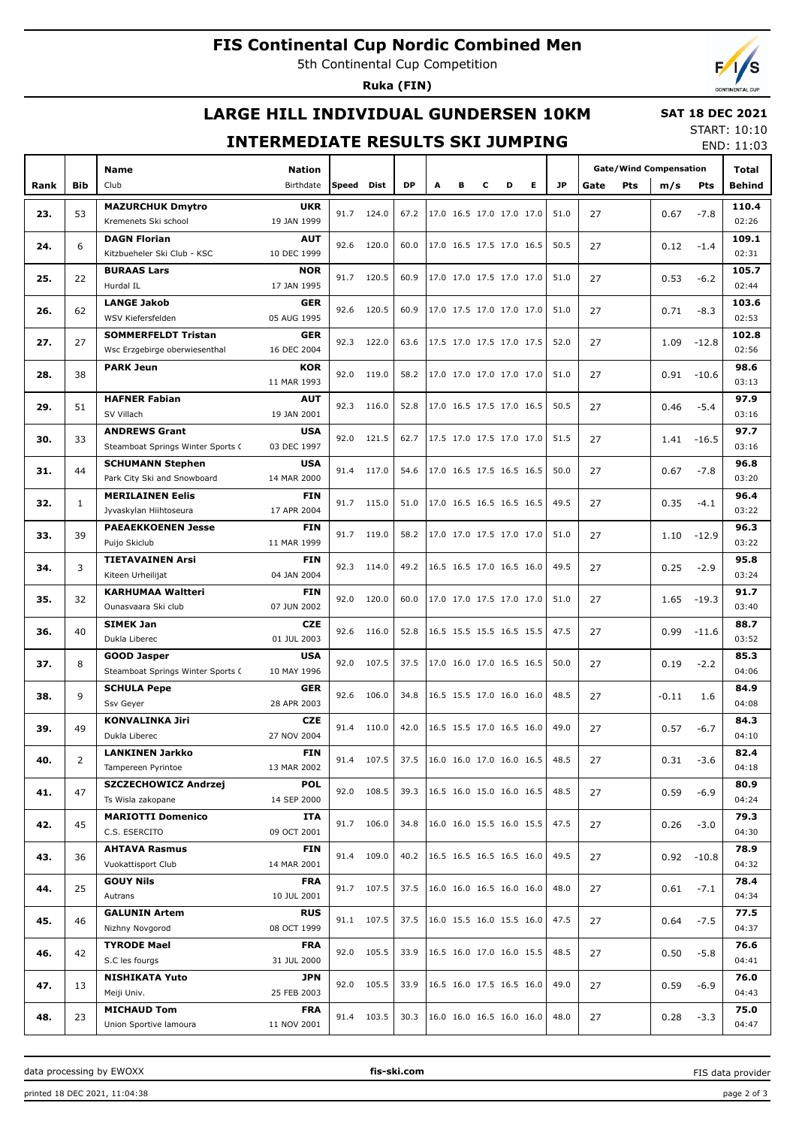# **FIS Continental Cup Nordic Combined Men**

5th Continental Cup Competition

**Ruka (FIN)**

# **LARGE HILL INDIVIDUAL GUNDERSEN 10KM**

### **SAT 18 DEC 2021**

### **INTERMEDIATE RESULTS SKI JUMPING**

START: 10:10 END: 11:03

|      |              | Name                                                   | <b>Nation</b>             |       |            |           |                          |   |   |                          |   |           | <b>Gate/Wind Compensation</b> | Total |               |               |               |
|------|--------------|--------------------------------------------------------|---------------------------|-------|------------|-----------|--------------------------|---|---|--------------------------|---|-----------|-------------------------------|-------|---------------|---------------|---------------|
| Rank | Bib          | Club                                                   | Birthdate                 | Speed | Dist       | <b>DP</b> | A                        | в | c | D                        | Е | <b>JP</b> | Gate                          | Pts   | m/s           | Pts           | Behind        |
|      |              |                                                        | <b>UKR</b>                |       |            |           |                          |   |   |                          |   |           |                               |       |               |               | 110.4         |
| 23.  | 53           | <b>MAZURCHUK Dmytro</b><br>Kremenets Ski school        | 19 JAN 1999               | 91.7  | 124.0      | 67.2      |                          |   |   | 17.0 16.5 17.0 17.0 17.0 |   | 51.0      | 27                            |       | 0.67          | $-7.8$        | 02:26         |
|      |              | <b>DAGN Florian</b>                                    | <b>AUT</b>                |       |            |           |                          |   |   |                          |   |           |                               |       |               |               | 109.1         |
| 24.  | 6            | Kitzbueheler Ski Club - KSC                            | 10 DEC 1999               | 92.6  | 120.0      | 60.0      |                          |   |   | 17.0 16.5 17.5 17.0 16.5 |   | 50.5      | 27                            |       | 0.12          | $-1.4$        | 02:31         |
|      |              | <b>BURAAS Lars</b>                                     | <b>NOR</b>                |       |            |           |                          |   |   |                          |   |           |                               |       |               |               | 105.7         |
| 25.  | 22           | Hurdal IL                                              | 17 JAN 1995               | 91.7  | 120.5      | 60.9      |                          |   |   | 17.0 17.0 17.5 17.0 17.0 |   | 51.0      | 27                            |       | 0.53          | $-6.2$        | 02:44         |
|      |              | <b>LANGE Jakob</b>                                     | <b>GER</b>                |       |            |           |                          |   |   |                          |   |           |                               |       |               |               | 103.6         |
| 26.  | 62           | WSV Kiefersfelden                                      | 05 AUG 1995               | 92.6  | 120.5      | 60.9      |                          |   |   | 17.0 17.5 17.0 17.0 17.0 |   | 51.0      | 27                            |       | 0.71          | $-8.3$        | 02:53         |
| 27.  | 27           | <b>SOMMERFELDT Tristan</b>                             | <b>GER</b>                | 92.3  | 122.0      | 63.6      |                          |   |   | 17.5 17.0 17.5 17.0 17.5 |   | 52.0      | 27                            |       | 1.09          | $-12.8$       | 102.8         |
|      |              | Wsc Erzgebirge oberwiesenthal                          | 16 DEC 2004               |       |            |           |                          |   |   |                          |   |           |                               |       |               |               | 02:56         |
| 28.  | 38           | <b>PARK Jeun</b>                                       | <b>KOR</b>                | 92.0  | 119.0      | 58.2      |                          |   |   | 17.0 17.0 17.0 17.0 17.0 |   | 51.0      | 27                            |       |               | $0.91 - 10.6$ | 98.6          |
|      |              |                                                        | 11 MAR 1993               |       |            |           |                          |   |   |                          |   |           |                               |       |               |               | 03:13         |
| 29.  | 51           | <b>HAFNER Fabian</b>                                   | <b>AUT</b>                | 92.3  | 116.0      | 52.8      |                          |   |   | 17.0 16.5 17.5 17.0 16.5 |   | 50.5      | 27                            |       | 0.46          | $-5.4$        | 97.9          |
|      |              | SV Villach                                             | 19 JAN 2001               |       |            |           |                          |   |   |                          |   |           |                               |       |               |               | 03:16         |
| 30.  | 33           | <b>ANDREWS Grant</b>                                   | <b>USA</b>                | 92.0  | 121.5      | 62.7      |                          |   |   | 17.5 17.0 17.5 17.0 17.0 |   | 51.5      | 27                            |       |               | $1.41 - 16.5$ | 97.7          |
|      |              | Steamboat Springs Winter Sports C                      | 03 DEC 1997<br><b>USA</b> |       |            |           |                          |   |   |                          |   |           |                               |       |               |               | 03:16<br>96.8 |
| 31.  | 44           | <b>SCHUMANN Stephen</b><br>Park City Ski and Snowboard | 14 MAR 2000               | 91.4  | 117.0      | 54.6      |                          |   |   | 17.0 16.5 17.5 16.5 16.5 |   | 50.0      | 27                            |       | 0.67          | $-7.8$        | 03:20         |
|      |              | <b>MERILAINEN Eelis</b>                                | <b>FIN</b>                |       |            |           |                          |   |   |                          |   |           |                               |       |               |               | 96.4          |
| 32.  | $\mathbf{1}$ | Jyvaskylan Hiihtoseura                                 | 17 APR 2004               | 91.7  | 115.0      | 51.0      |                          |   |   | 17.0 16.5 16.5 16.5 16.5 |   | 49.5      | 27                            |       | 0.35          | $-4.1$        | 03:22         |
| 33.  |              | <b>PAEAEKKOENEN Jesse</b>                              | <b>FIN</b>                |       |            |           |                          |   |   |                          |   |           |                               |       |               | 96.3          |               |
|      | 39           | Puijo Skiclub                                          | 11 MAR 1999               | 91.7  | 119.0      | 58.2      |                          |   |   | 17.0 17.0 17.5 17.0 17.0 |   | 51.0      | 27                            |       | 1.10          | $-12.9$       | 03:22         |
|      | 3            | <b>TIETAVAINEN Arsi</b>                                | <b>FIN</b>                | 92.3  | 114.0      | 49.2      |                          |   |   | 16.5 16.5 17.0 16.5 16.0 |   | 49.5      | 27                            |       |               |               | 95.8          |
| 34.  |              | Kiteen Urheilijat                                      | 04 JAN 2004               |       |            |           |                          |   |   |                          |   |           |                               |       | 0.25          | $-2.9$        | 03:24         |
| 35.  | 32           | <b>KARHUMAA Waltteri</b>                               | <b>FIN</b>                | 92.0  | 120.0      | 60.0      | 17.0 17.0 17.5 17.0 17.0 |   |   |                          |   | 51.0      | 27                            |       | $1.65 - 19.3$ | 91.7          |               |
|      |              | Ounasvaara Ski club                                    | 07 JUN 2002               |       |            |           |                          |   |   |                          |   |           |                               |       |               |               | 03:40         |
| 36.  | 40           | <b>SIMEK Jan</b>                                       | <b>CZE</b>                | 92.6  | 116.0      | 52.8      |                          |   |   | 16.5 15.5 15.5 16.5 15.5 |   | 47.5      | 27                            |       | 0.99          | $-11.6$       | 88.7          |
|      |              | Dukla Liberec                                          | 01 JUL 2003               |       |            |           |                          |   |   |                          |   |           |                               |       |               |               | 03:52         |
| 37.  | 8            | <b>GOOD Jasper</b>                                     | <b>USA</b>                | 92.0  | 107.5      | 37.5      |                          |   |   | 17.0 16.0 17.0 16.5 16.5 |   | 50.0      | 27                            |       | 0.19          | $-2.2$        | 85.3          |
|      |              | Steamboat Springs Winter Sports C                      | 10 MAY 1996<br><b>GER</b> |       |            |           |                          |   |   |                          |   |           |                               |       |               |               | 04:06<br>84.9 |
| 38.  | 9            | <b>SCHULA Pepe</b><br>Ssv Geyer                        | 28 APR 2003               | 92.6  | 106.0      | 34.8      |                          |   |   | 16.5 15.5 17.0 16.0 16.0 |   | 48.5      | 27                            |       | $-0.11$       | 1.6           | 04:08         |
|      |              | <b>KONVALINKA Jiri</b>                                 | <b>CZE</b>                |       |            |           |                          |   |   |                          |   |           |                               |       |               |               | 84.3          |
| 39.  | 49           | Dukla Liberec                                          | 27 NOV 2004               | 91.4  | 110.0      | 42.0      |                          |   |   | 16.5 15.5 17.0 16.5 16.0 |   | 49.0      | 27                            |       | 0.57          | $-6.7$        | 04:10         |
|      |              | <b>LANKINEN Jarkko</b>                                 | <b>FIN</b>                |       |            |           |                          |   |   |                          |   |           |                               |       |               |               | 82.4          |
| 40.  | 2            | Tampereen Pyrintoe                                     | 13 MAR 2002               |       | 91.4 107.5 | 37.5      |                          |   |   | 16.0 16.0 17.0 16.0 16.5 |   | 48.5      | 27                            |       | 0.31          | $-3.6$        | 04:18         |
| 41.  | 47           | <b>SZCZECHOWICZ Andrzej</b>                            | POL                       |       | 92.0 108.5 | 39.3      |                          |   |   | 16.5 16.0 15.0 16.0 16.5 |   | 48.5      | 27                            |       | 0.59          | $-6.9$        | 80.9          |
|      |              | Ts Wisla zakopane                                      | 14 SEP 2000               |       |            |           |                          |   |   |                          |   |           |                               |       |               |               | 04:24         |
| 42.  | 45           | <b>MARIOTTI Domenico</b>                               | ITA                       |       | 91.7 106.0 | 34.8      |                          |   |   | 16.0 16.0 15.5 16.0 15.5 |   | 47.5      | 27                            |       | 0.26          | $-3.0$        | 79.3          |
|      |              | C.S. ESERCITO                                          | 09 OCT 2001               |       |            |           |                          |   |   |                          |   |           |                               |       |               |               | 04:30         |
| 43.  | 36           | <b>AHTAVA Rasmus</b>                                   | FIN                       |       | 91.4 109.0 | 40.2      |                          |   |   | 16.5 16.5 16.5 16.5 16.0 |   | 49.5      | 27                            |       |               | $0.92 - 10.8$ | 78.9          |
|      |              | Vuokattisport Club                                     | 14 MAR 2001               |       |            |           |                          |   |   |                          |   |           |                               |       |               |               | 04:32         |
| 44.  | 25           | <b>GOUY Nils</b><br>Autrans                            | <b>FRA</b><br>10 JUL 2001 |       | 91.7 107.5 | 37.5      |                          |   |   | 16.0 16.0 16.5 16.0 16.0 |   | 48.0      | 27                            |       | 0.61          | $-7.1$        | 78.4<br>04:34 |
|      |              |                                                        |                           |       |            |           |                          |   |   |                          |   |           |                               |       |               |               |               |
| 45.  | 46           | <b>GALUNIN Artem</b><br>Nizhny Novgorod                | <b>RUS</b><br>08 OCT 1999 |       | 91.1 107.5 | 37.5      |                          |   |   | 16.0 15.5 16.0 15.5 16.0 |   | 47.5      | 27                            |       | 0.64          | $-7.5$        | 77.5<br>04:37 |
|      |              | <b>TYRODE Mael</b>                                     | <b>FRA</b>                |       |            |           |                          |   |   |                          |   |           |                               |       |               | 76.6          |               |
| 46.  | 42           | S.C les fourgs                                         | 31 JUL 2000               |       | 92.0 105.5 | 33.9      |                          |   |   | 16.5 16.0 17.0 16.0 15.5 |   | 48.5      | 27                            |       | 0.50          | $-5.8$        | 04:41         |
|      |              | <b>NISHIKATA Yuto</b>                                  | JPN                       |       |            |           |                          |   |   |                          |   |           |                               |       |               |               | 76.0          |
| 47.  | 13           | Meiji Univ.                                            | 25 FEB 2003               |       | 92.0 105.5 | 33.9      |                          |   |   | 16.5 16.0 17.5 16.5 16.0 |   | 49.0      | 27                            |       | 0.59          | $-6.9$        | 04:43         |
|      |              | <b>MICHAUD Tom</b>                                     | <b>FRA</b>                |       | 91.4 103.5 | 30.3      |                          |   |   | 16.0 16.0 16.5 16.0 16.0 |   | 48.0      |                               |       |               |               | 75.0          |
| 48.  | 23           | Union Sportive lamoura                                 | 11 NOV 2001               |       |            |           |                          |   |   |                          |   |           | 27                            |       | 0.28          | $-3.3$        | 04:47         |

data processing by EWOXX **fis-ski.com**

FIS data provider